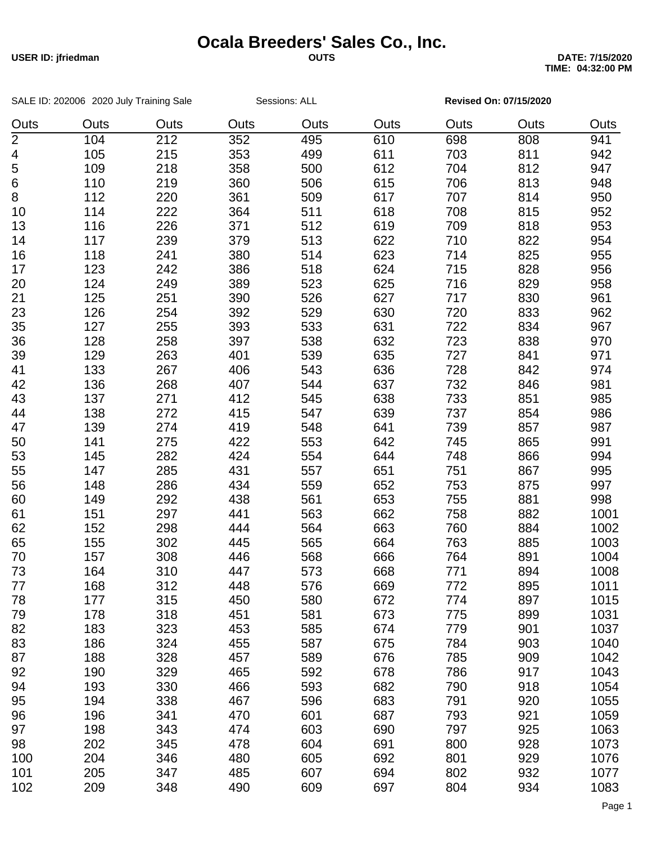## **Ocala Breeders' Sales Co., Inc.**

SALE ID: 202006 2020 July Training Sale Sessions: ALL **Revised On: 07/15/2020** 

**USER ID: jfriedman OUTS DATE: 7/15/2020 TIME: 04:32:00 PM**

| Outs           | Outs | Outs | Outs | Outs | Outs | Outs | Outs | Outs |
|----------------|------|------|------|------|------|------|------|------|
| $\overline{2}$ | 104  | 212  | 352  | 495  | 610  | 698  | 808  | 941  |
| 4              | 105  | 215  | 353  | 499  | 611  | 703  | 811  | 942  |
| 5              | 109  | 218  | 358  | 500  | 612  | 704  | 812  | 947  |
| 6              | 110  | 219  | 360  | 506  | 615  | 706  | 813  | 948  |
| 8              | 112  | 220  | 361  | 509  | 617  | 707  | 814  | 950  |
| 10             | 114  | 222  | 364  | 511  | 618  | 708  | 815  | 952  |
| 13             | 116  | 226  | 371  | 512  | 619  | 709  | 818  | 953  |
| 14             | 117  | 239  | 379  | 513  | 622  | 710  | 822  | 954  |
| 16             | 118  | 241  | 380  | 514  | 623  | 714  | 825  | 955  |
| 17             | 123  | 242  | 386  | 518  | 624  | 715  | 828  | 956  |
| 20             | 124  | 249  | 389  | 523  | 625  | 716  | 829  | 958  |
| 21             | 125  | 251  | 390  | 526  | 627  | 717  | 830  | 961  |
| 23             | 126  | 254  | 392  | 529  | 630  | 720  | 833  | 962  |
| 35             | 127  | 255  | 393  | 533  | 631  | 722  | 834  | 967  |
| 36             | 128  | 258  | 397  | 538  | 632  | 723  | 838  | 970  |
| 39             | 129  | 263  | 401  | 539  | 635  | 727  | 841  | 971  |
| 41             | 133  | 267  | 406  | 543  | 636  | 728  | 842  | 974  |
| 42             | 136  | 268  | 407  | 544  | 637  | 732  | 846  | 981  |
| 43             | 137  | 271  | 412  | 545  | 638  | 733  | 851  | 985  |
| 44             | 138  | 272  | 415  | 547  | 639  | 737  | 854  | 986  |
| 47             | 139  | 274  | 419  | 548  | 641  | 739  | 857  | 987  |
| 50             | 141  | 275  | 422  | 553  | 642  | 745  | 865  | 991  |
| 53             | 145  | 282  | 424  | 554  | 644  | 748  | 866  | 994  |
| 55             | 147  | 285  | 431  | 557  | 651  | 751  | 867  | 995  |
| 56             | 148  | 286  | 434  | 559  | 652  | 753  | 875  | 997  |
| 60             | 149  | 292  | 438  | 561  | 653  | 755  | 881  | 998  |
| 61             | 151  | 297  | 441  | 563  | 662  | 758  | 882  | 1001 |
| 62             | 152  | 298  | 444  | 564  | 663  | 760  | 884  | 1002 |
| 65             | 155  | 302  | 445  | 565  | 664  | 763  | 885  | 1003 |
| 70             | 157  | 308  | 446  | 568  | 666  | 764  | 891  | 1004 |
| 73             | 164  | 310  | 447  | 573  | 668  | 771  | 894  | 1008 |
| 77             | 168  | 312  | 448  | 576  | 669  | 772  | 895  | 1011 |
| 78             | 177  | 315  | 450  | 580  | 672  | 774  | 897  | 1015 |
| 79             | 178  | 318  | 451  | 581  | 673  | 775  | 899  | 1031 |
| 82             | 183  | 323  |      |      |      |      | 901  | 1037 |
|                |      |      | 453  | 585  | 674  | 779  |      |      |
| 83             | 186  | 324  | 455  | 587  | 675  | 784  | 903  | 1040 |
| 87             | 188  | 328  | 457  | 589  | 676  | 785  | 909  | 1042 |
| 92             | 190  | 329  | 465  | 592  | 678  | 786  | 917  | 1043 |
| 94             | 193  | 330  | 466  | 593  | 682  | 790  | 918  | 1054 |
| 95             | 194  | 338  | 467  | 596  | 683  | 791  | 920  | 1055 |
| 96             | 196  | 341  | 470  | 601  | 687  | 793  | 921  | 1059 |
| 97             | 198  | 343  | 474  | 603  | 690  | 797  | 925  | 1063 |
| 98             | 202  | 345  | 478  | 604  | 691  | 800  | 928  | 1073 |
| 100            | 204  | 346  | 480  | 605  | 692  | 801  | 929  | 1076 |
| 101            | 205  | 347  | 485  | 607  | 694  | 802  | 932  | 1077 |
| 102            | 209  | 348  | 490  | 609  | 697  | 804  | 934  | 1083 |